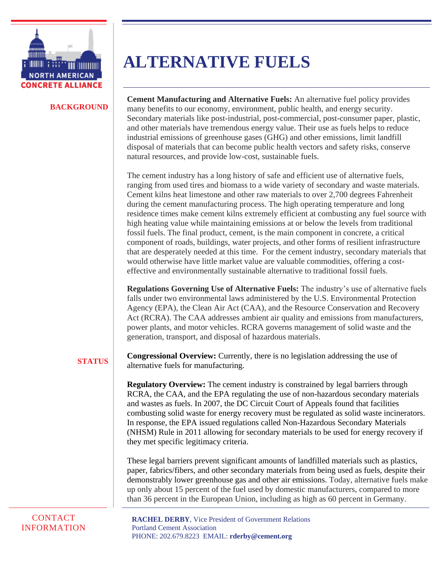

#### **BACKGROUND**

**ALTERNATIVE FUELS**

**Cement Manufacturing and Alternative Fuels:** An alternative fuel policy provides many benefits to our economy, environment, public health, and energy security. Secondary materials like post-industrial, post-commercial, post-consumer paper, plastic, and other materials have tremendous energy value. Their use as fuels helps to reduce industrial emissions of greenhouse gases (GHG) and other emissions, limit landfill disposal of materials that can become public health vectors and safety risks, conserve natural resources, and provide low-cost, sustainable fuels.

The cement industry has a long history of safe and efficient use of alternative fuels, ranging from used tires and biomass to a wide variety of secondary and waste materials. Cement kilns heat limestone and other raw materials to over 2,700 degrees Fahrenheit during the cement manufacturing process. The high operating temperature and long residence times make cement kilns extremely efficient at combusting any fuel source with high heating value while maintaining emissions at or below the levels from traditional fossil fuels. The final product, cement, is the main component in concrete, a critical component of roads, buildings, water projects, and other forms of resilient infrastructure that are desperately needed at this time. For the cement industry, secondary materials that would otherwise have little market value are valuable commodities, offering a costeffective and environmentally sustainable alternative to traditional fossil fuels.

**Regulations Governing Use of Alternative Fuels:** The industry's use of alternative fuels falls under two environmental laws administered by the U.S. Environmental Protection Agency (EPA), the Clean Air Act (CAA), and the Resource Conservation and Recovery Act (RCRA). The CAA addresses ambient air quality and emissions from manufacturers, power plants, and motor vehicles. RCRA governs management of solid waste and the generation, transport, and disposal of hazardous materials.

### **STATUS**

**Congressional Overview:** Currently, there is no legislation addressing the use of alternative fuels for manufacturing.

**Regulatory Overview:** The cement industry is constrained by legal barriers through RCRA, the CAA, and the EPA regulating the use of non-hazardous secondary materials and wastes as fuels. In 2007, the DC Circuit Court of Appeals found that facilities combusting solid waste for energy recovery must be regulated as solid waste incinerators. In response, the EPA issued regulations called Non-Hazardous Secondary Materials (NHSM) Rule in 2011 allowing for secondary materials to be used for energy recovery if they met specific legitimacy criteria.

These legal barriers prevent significant amounts of landfilled materials such as plastics, paper, fabrics/fibers, and other secondary materials from being used as fuels, despite their demonstrably lower greenhouse gas and other air emissions. Today, alternative fuels make up only about 15 percent of the fuel used by domestic manufacturers, compared to more than 36 percent in the European Union, including as high as 60 percent in Germany.

### **CONTACT** INFORMATION

**RACHEL DERBY**, Vice President of Government Relations Portland Cement Association PHONE: 202.679.8223 EMAIL: **rderby@cement.org**